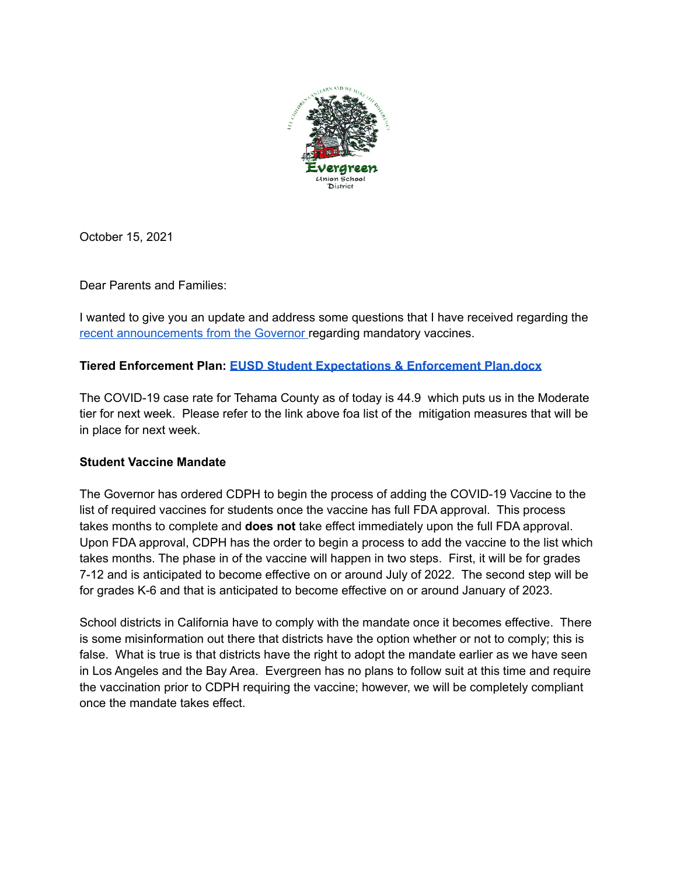

October 15, 2021

Dear Parents and Families:

I wanted to give you an update and address some questions that I have received regarding the recent [announcements](https://announcements.catapultcms.com/utilities/DownloadFile.ashx?cadocumentguid=bce1b91c2af2432b9dca3b080f6c348d) from the Governor regarding mandatory vaccines.

# **Tiered Enforcement Plan: EUSD Student [Expectations](https://www.evergreenusd.org/documents/COVID%20LINK%20DOCS/%202.%20EUSD-Student-Expectations-Enforcement-Plan.pdf) & Enforcement Plan.docx**

The COVID-19 case rate for Tehama County as of today is 44.9 which puts us in the Moderate tier for next week. Please refer to the link above foa list of the mitigation measures that will be in place for next week.

### **Student Vaccine Mandate**

The Governor has ordered CDPH to begin the process of adding the COVID-19 Vaccine to the list of required vaccines for students once the vaccine has full FDA approval. This process takes months to complete and **does not** take effect immediately upon the full FDA approval. Upon FDA approval, CDPH has the order to begin a process to add the vaccine to the list which takes months. The phase in of the vaccine will happen in two steps. First, it will be for grades 7-12 and is anticipated to become effective on or around July of 2022. The second step will be for grades K-6 and that is anticipated to become effective on or around January of 2023.

School districts in California have to comply with the mandate once it becomes effective. There is some misinformation out there that districts have the option whether or not to comply; this is false. What is true is that districts have the right to adopt the mandate earlier as we have seen in Los Angeles and the Bay Area. Evergreen has no plans to follow suit at this time and require the vaccination prior to CDPH requiring the vaccine; however, we will be completely compliant once the mandate takes effect.